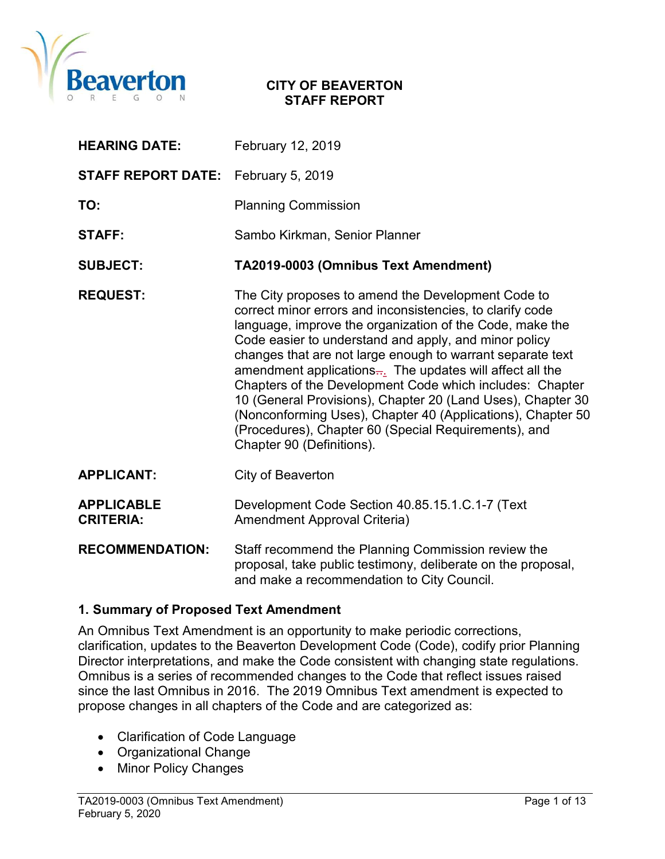

#### CITY OF BEAVERTON STAFF REPORT

| <b>HEARING DATE:</b>                  | February 12, 2019                                                                                                                                                                                                                                                                                                                                                                                                                                                                                                                                                                                                                                           |
|---------------------------------------|-------------------------------------------------------------------------------------------------------------------------------------------------------------------------------------------------------------------------------------------------------------------------------------------------------------------------------------------------------------------------------------------------------------------------------------------------------------------------------------------------------------------------------------------------------------------------------------------------------------------------------------------------------------|
| <b>STAFF REPORT DATE:</b>             | February 5, 2019                                                                                                                                                                                                                                                                                                                                                                                                                                                                                                                                                                                                                                            |
| TO:                                   | <b>Planning Commission</b>                                                                                                                                                                                                                                                                                                                                                                                                                                                                                                                                                                                                                                  |
| <b>STAFF:</b>                         | Sambo Kirkman, Senior Planner                                                                                                                                                                                                                                                                                                                                                                                                                                                                                                                                                                                                                               |
| <b>SUBJECT:</b>                       | TA2019-0003 (Omnibus Text Amendment)                                                                                                                                                                                                                                                                                                                                                                                                                                                                                                                                                                                                                        |
| <b>REQUEST:</b>                       | The City proposes to amend the Development Code to<br>correct minor errors and inconsistencies, to clarify code<br>language, improve the organization of the Code, make the<br>Code easier to understand and apply, and minor policy<br>changes that are not large enough to warrant separate text<br>amendment applications $\frac{1}{n}$ . The updates will affect all the<br>Chapters of the Development Code which includes: Chapter<br>10 (General Provisions), Chapter 20 (Land Uses), Chapter 30<br>(Nonconforming Uses), Chapter 40 (Applications), Chapter 50<br>(Procedures), Chapter 60 (Special Requirements), and<br>Chapter 90 (Definitions). |
| <b>APPLICANT:</b>                     | City of Beaverton                                                                                                                                                                                                                                                                                                                                                                                                                                                                                                                                                                                                                                           |
| <b>APPLICABLE</b><br><b>CRITERIA:</b> | Development Code Section 40.85.15.1.C.1-7 (Text<br><b>Amendment Approval Criteria)</b>                                                                                                                                                                                                                                                                                                                                                                                                                                                                                                                                                                      |
| <b>RECOMMENDATION:</b>                | Staff recommend the Planning Commission review the<br>proposal, take public testimony, deliberate on the proposal,<br>and make a recommendation to City Council.                                                                                                                                                                                                                                                                                                                                                                                                                                                                                            |

#### 1. Summary of Proposed Text Amendment

An Omnibus Text Amendment is an opportunity to make periodic corrections, clarification, updates to the Beaverton Development Code (Code), codify prior Planning Director interpretations, and make the Code consistent with changing state regulations. Omnibus is a series of recommended changes to the Code that reflect issues raised since the last Omnibus in 2016. The 2019 Omnibus Text amendment is expected to propose changes in all chapters of the Code and are categorized as:

- Clarification of Code Language
- Organizational Change
- Minor Policy Changes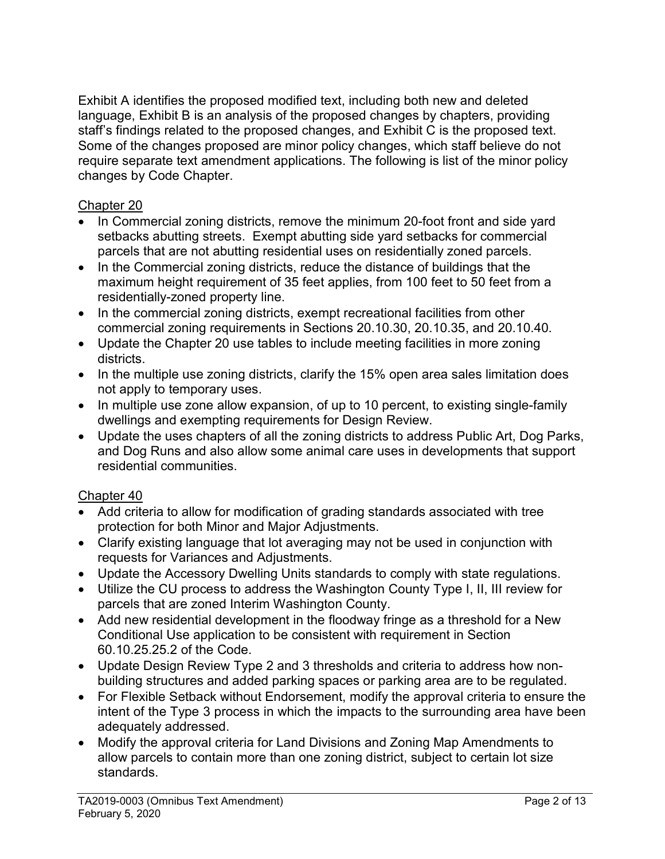Exhibit A identifies the proposed modified text, including both new and deleted language, Exhibit B is an analysis of the proposed changes by chapters, providing staff's findings related to the proposed changes, and Exhibit C is the proposed text. Some of the changes proposed are minor policy changes, which staff believe do not require separate text amendment applications. The following is list of the minor policy changes by Code Chapter.

## Chapter 20

- In Commercial zoning districts, remove the minimum 20-foot front and side yard setbacks abutting streets. Exempt abutting side yard setbacks for commercial parcels that are not abutting residential uses on residentially zoned parcels.
- In the Commercial zoning districts, reduce the distance of buildings that the maximum height requirement of 35 feet applies, from 100 feet to 50 feet from a residentially-zoned property line.
- In the commercial zoning districts, exempt recreational facilities from other commercial zoning requirements in Sections 20.10.30, 20.10.35, and 20.10.40.
- Update the Chapter 20 use tables to include meeting facilities in more zoning districts.
- In the multiple use zoning districts, clarify the 15% open area sales limitation does not apply to temporary uses.
- In multiple use zone allow expansion, of up to 10 percent, to existing single-family dwellings and exempting requirements for Design Review.
- Update the uses chapters of all the zoning districts to address Public Art, Dog Parks, and Dog Runs and also allow some animal care uses in developments that support residential communities.

### Chapter 40

- Add criteria to allow for modification of grading standards associated with tree protection for both Minor and Major Adjustments.
- Clarify existing language that lot averaging may not be used in conjunction with requests for Variances and Adjustments.
- Update the Accessory Dwelling Units standards to comply with state regulations.
- Utilize the CU process to address the Washington County Type I, II, III review for parcels that are zoned Interim Washington County.
- Add new residential development in the floodway fringe as a threshold for a New Conditional Use application to be consistent with requirement in Section 60.10.25.25.2 of the Code.
- Update Design Review Type 2 and 3 thresholds and criteria to address how nonbuilding structures and added parking spaces or parking area are to be regulated.
- For Flexible Setback without Endorsement, modify the approval criteria to ensure the intent of the Type 3 process in which the impacts to the surrounding area have been adequately addressed.
- Modify the approval criteria for Land Divisions and Zoning Map Amendments to allow parcels to contain more than one zoning district, subject to certain lot size standards.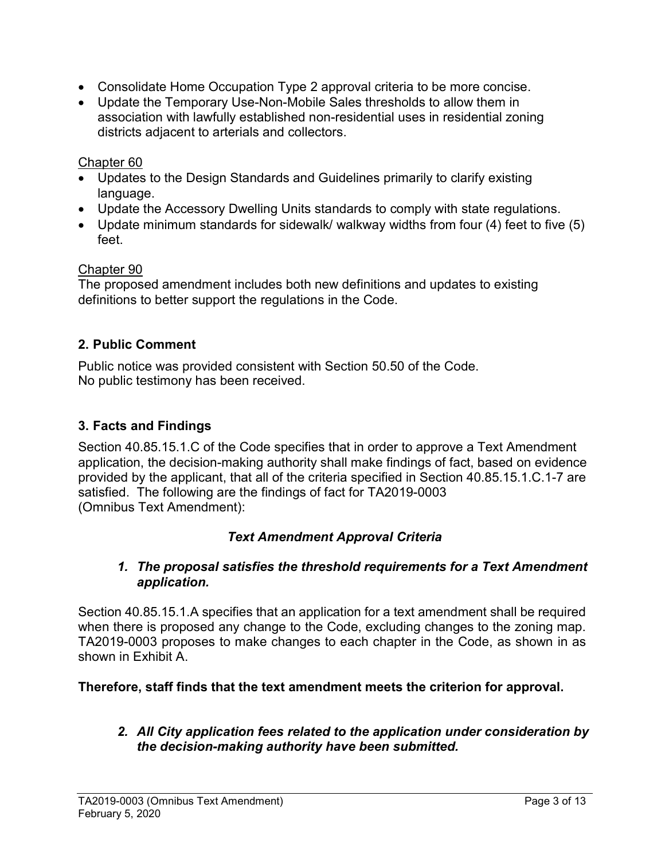- Consolidate Home Occupation Type 2 approval criteria to be more concise.
- Update the Temporary Use-Non-Mobile Sales thresholds to allow them in association with lawfully established non-residential uses in residential zoning districts adjacent to arterials and collectors.

### Chapter 60

- Updates to the Design Standards and Guidelines primarily to clarify existing language.
- Update the Accessory Dwelling Units standards to comply with state regulations.
- Update minimum standards for sidewalk/ walkway widths from four (4) feet to five (5) feet.

### Chapter 90

The proposed amendment includes both new definitions and updates to existing definitions to better support the regulations in the Code.

## 2. Public Comment

Public notice was provided consistent with Section 50.50 of the Code. No public testimony has been received.

## 3. Facts and Findings

Section 40.85.15.1.C of the Code specifies that in order to approve a Text Amendment application, the decision-making authority shall make findings of fact, based on evidence provided by the applicant, that all of the criteria specified in Section 40.85.15.1.C.1-7 are satisfied. The following are the findings of fact for TA2019-0003 (Omnibus Text Amendment):

### Text Amendment Approval Criteria

### 1. The proposal satisfies the threshold requirements for a Text Amendment application.

Section 40.85.15.1.A specifies that an application for a text amendment shall be required when there is proposed any change to the Code, excluding changes to the zoning map. TA2019-0003 proposes to make changes to each chapter in the Code, as shown in as shown in Exhibit A.

#### Therefore, staff finds that the text amendment meets the criterion for approval.

### 2. All City application fees related to the application under consideration by the decision-making authority have been submitted.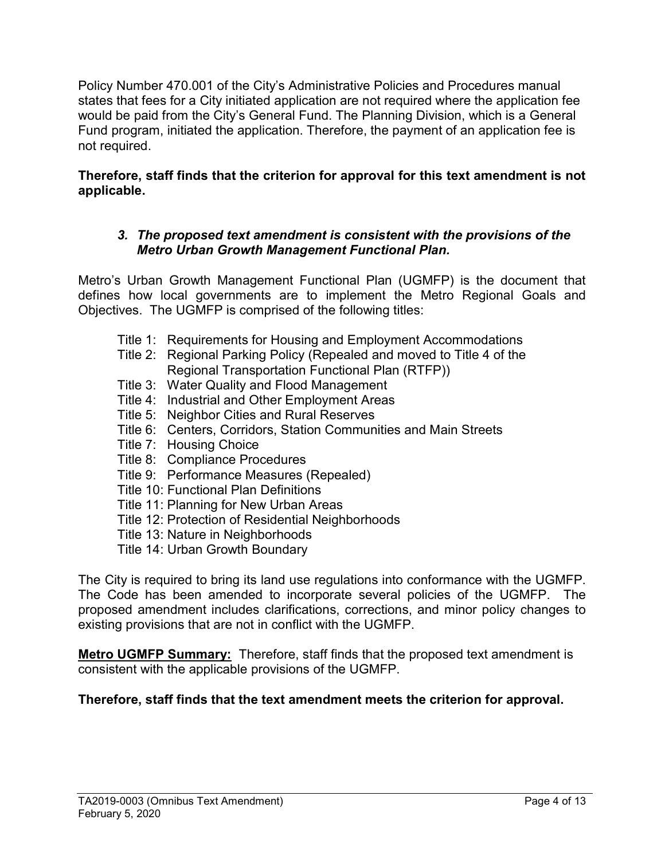Policy Number 470.001 of the City's Administrative Policies and Procedures manual states that fees for a City initiated application are not required where the application fee would be paid from the City's General Fund. The Planning Division, which is a General Fund program, initiated the application. Therefore, the payment of an application fee is not required.

## Therefore, staff finds that the criterion for approval for this text amendment is not applicable.

### 3. The proposed text amendment is consistent with the provisions of the Metro Urban Growth Management Functional Plan.

Metro's Urban Growth Management Functional Plan (UGMFP) is the document that defines how local governments are to implement the Metro Regional Goals and Objectives. The UGMFP is comprised of the following titles:

- Title 1: Requirements for Housing and Employment Accommodations
- Title 2: Regional Parking Policy (Repealed and moved to Title 4 of the Regional Transportation Functional Plan (RTFP))
- Title 3: Water Quality and Flood Management
- Title 4: Industrial and Other Employment Areas
- Title 5: Neighbor Cities and Rural Reserves
- Title 6: Centers, Corridors, Station Communities and Main Streets
- Title 7: Housing Choice
- Title 8: Compliance Procedures
- Title 9: Performance Measures (Repealed)
- Title 10: Functional Plan Definitions
- Title 11: Planning for New Urban Areas
- Title 12: Protection of Residential Neighborhoods
- Title 13: Nature in Neighborhoods
- Title 14: Urban Growth Boundary

The City is required to bring its land use regulations into conformance with the UGMFP. The Code has been amended to incorporate several policies of the UGMFP. The proposed amendment includes clarifications, corrections, and minor policy changes to existing provisions that are not in conflict with the UGMFP.

**Metro UGMFP Summary:** Therefore, staff finds that the proposed text amendment is consistent with the applicable provisions of the UGMFP.

# Therefore, staff finds that the text amendment meets the criterion for approval.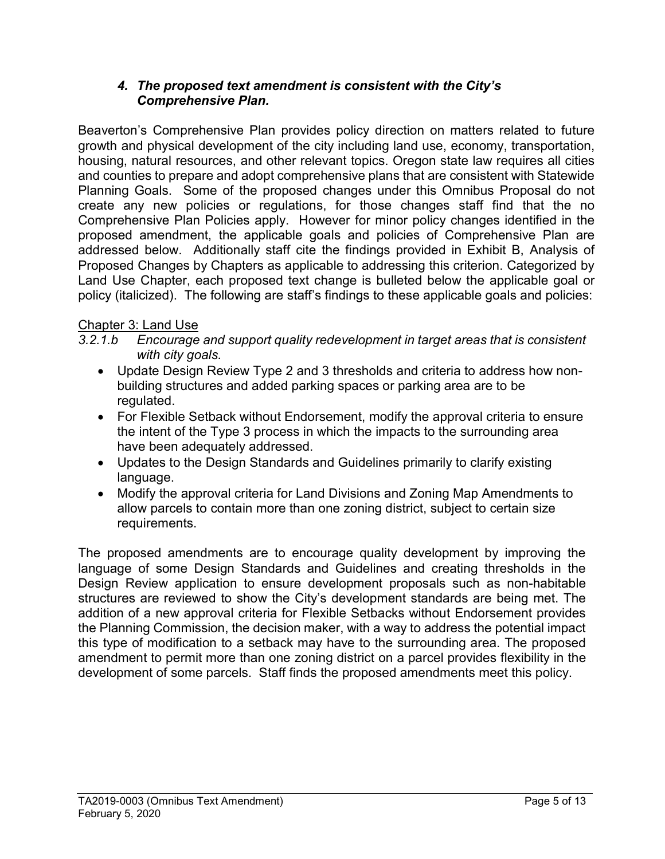### 4. The proposed text amendment is consistent with the City's Comprehensive Plan.

Beaverton's Comprehensive Plan provides policy direction on matters related to future growth and physical development of the city including land use, economy, transportation, housing, natural resources, and other relevant topics. Oregon state law requires all cities and counties to prepare and adopt comprehensive plans that are consistent with Statewide Planning Goals. Some of the proposed changes under this Omnibus Proposal do not create any new policies or regulations, for those changes staff find that the no Comprehensive Plan Policies apply. However for minor policy changes identified in the proposed amendment, the applicable goals and policies of Comprehensive Plan are addressed below. Additionally staff cite the findings provided in Exhibit B, Analysis of Proposed Changes by Chapters as applicable to addressing this criterion. Categorized by Land Use Chapter, each proposed text change is bulleted below the applicable goal or policy (italicized). The following are staff's findings to these applicable goals and policies:

## Chapter 3: Land Use

3.2.1.b Encourage and support quality redevelopment in target areas that is consistent with city goals.

- Update Design Review Type 2 and 3 thresholds and criteria to address how nonbuilding structures and added parking spaces or parking area are to be regulated.
- For Flexible Setback without Endorsement, modify the approval criteria to ensure the intent of the Type 3 process in which the impacts to the surrounding area have been adequately addressed.
- Updates to the Design Standards and Guidelines primarily to clarify existing language.
- Modify the approval criteria for Land Divisions and Zoning Map Amendments to allow parcels to contain more than one zoning district, subject to certain size requirements.

The proposed amendments are to encourage quality development by improving the language of some Design Standards and Guidelines and creating thresholds in the Design Review application to ensure development proposals such as non-habitable structures are reviewed to show the City's development standards are being met. The addition of a new approval criteria for Flexible Setbacks without Endorsement provides the Planning Commission, the decision maker, with a way to address the potential impact this type of modification to a setback may have to the surrounding area. The proposed amendment to permit more than one zoning district on a parcel provides flexibility in the development of some parcels. Staff finds the proposed amendments meet this policy.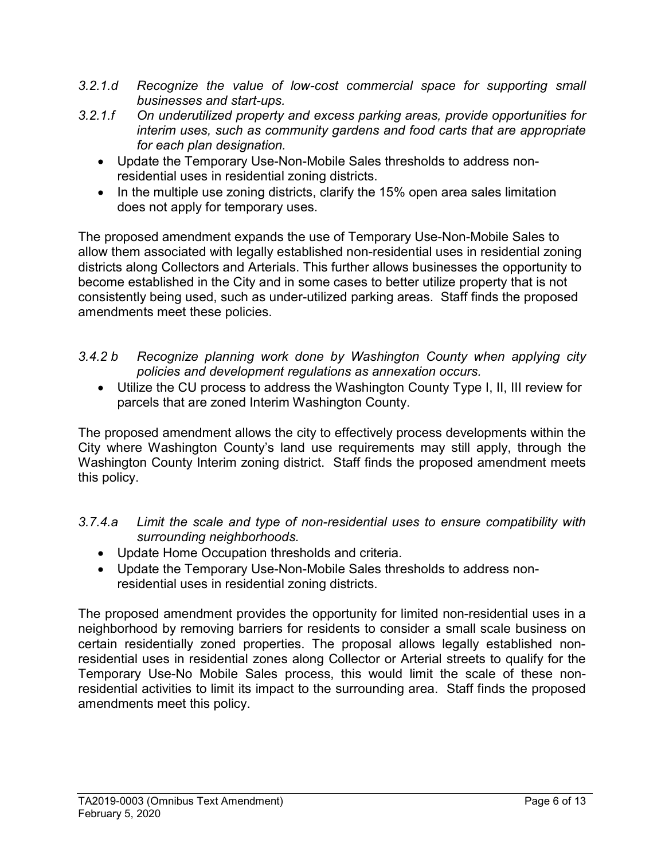- 3.2.1.d Recognize the value of low-cost commercial space for supporting small businesses and start-ups.
- 3.2.1.f On underutilized property and excess parking areas, provide opportunities for interim uses, such as community gardens and food carts that are appropriate for each plan designation.
	- Update the Temporary Use-Non-Mobile Sales thresholds to address nonresidential uses in residential zoning districts.
	- In the multiple use zoning districts, clarify the 15% open area sales limitation does not apply for temporary uses.

The proposed amendment expands the use of Temporary Use-Non-Mobile Sales to allow them associated with legally established non-residential uses in residential zoning districts along Collectors and Arterials. This further allows businesses the opportunity to become established in the City and in some cases to better utilize property that is not consistently being used, such as under-utilized parking areas. Staff finds the proposed amendments meet these policies.

- 3.4.2 b Recognize planning work done by Washington County when applying city policies and development regulations as annexation occurs.
	- Utilize the CU process to address the Washington County Type I, II, III review for parcels that are zoned Interim Washington County.

The proposed amendment allows the city to effectively process developments within the City where Washington County's land use requirements may still apply, through the Washington County Interim zoning district. Staff finds the proposed amendment meets this policy.

- 3.7.4.a Limit the scale and type of non-residential uses to ensure compatibility with surrounding neighborhoods.
	- Update Home Occupation thresholds and criteria.
	- Update the Temporary Use-Non-Mobile Sales thresholds to address nonresidential uses in residential zoning districts.

The proposed amendment provides the opportunity for limited non-residential uses in a neighborhood by removing barriers for residents to consider a small scale business on certain residentially zoned properties. The proposal allows legally established nonresidential uses in residential zones along Collector or Arterial streets to qualify for the Temporary Use-No Mobile Sales process, this would limit the scale of these nonresidential activities to limit its impact to the surrounding area. Staff finds the proposed amendments meet this policy.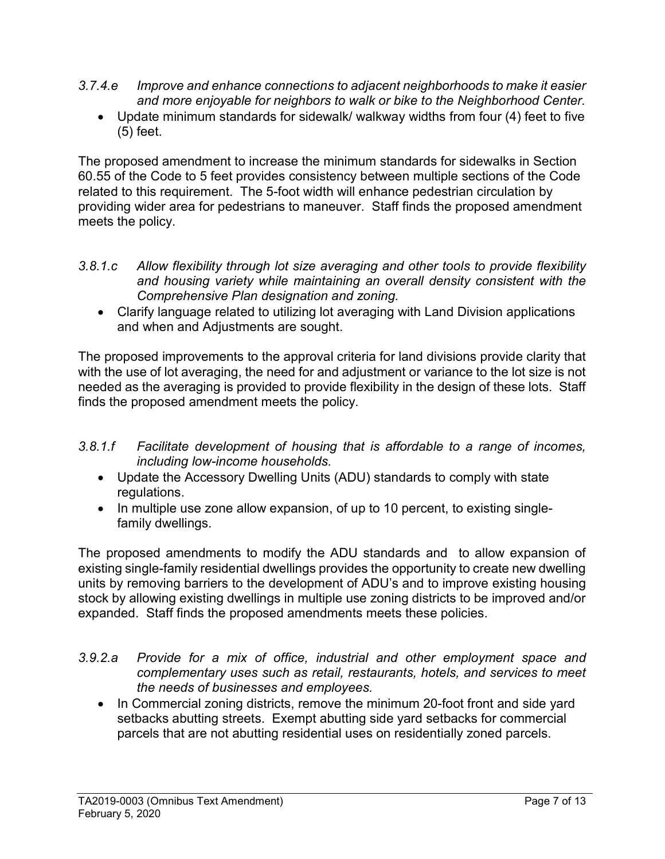- 3.7.4.e Improve and enhance connections to adjacent neighborhoods to make it easier and more enjoyable for neighbors to walk or bike to the Neighborhood Center.
	- Update minimum standards for sidewalk/ walkway widths from four (4) feet to five (5) feet.

The proposed amendment to increase the minimum standards for sidewalks in Section 60.55 of the Code to 5 feet provides consistency between multiple sections of the Code related to this requirement. The 5-foot width will enhance pedestrian circulation by providing wider area for pedestrians to maneuver. Staff finds the proposed amendment meets the policy.

- 3.8.1.c Allow flexibility through lot size averaging and other tools to provide flexibility and housing variety while maintaining an overall density consistent with the Comprehensive Plan designation and zoning.
	- Clarify language related to utilizing lot averaging with Land Division applications and when and Adjustments are sought.

The proposed improvements to the approval criteria for land divisions provide clarity that with the use of lot averaging, the need for and adjustment or variance to the lot size is not needed as the averaging is provided to provide flexibility in the design of these lots. Staff finds the proposed amendment meets the policy.

- 3.8.1.f Facilitate development of housing that is affordable to a range of incomes, including low-income households.
	- Update the Accessory Dwelling Units (ADU) standards to comply with state regulations.
	- In multiple use zone allow expansion, of up to 10 percent, to existing singlefamily dwellings.

The proposed amendments to modify the ADU standards and to allow expansion of existing single-family residential dwellings provides the opportunity to create new dwelling units by removing barriers to the development of ADU's and to improve existing housing stock by allowing existing dwellings in multiple use zoning districts to be improved and/or expanded. Staff finds the proposed amendments meets these policies.

- 3.9.2.a Provide for a mix of office, industrial and other employment space and complementary uses such as retail, restaurants, hotels, and services to meet the needs of businesses and employees.
	- In Commercial zoning districts, remove the minimum 20-foot front and side yard setbacks abutting streets. Exempt abutting side yard setbacks for commercial parcels that are not abutting residential uses on residentially zoned parcels.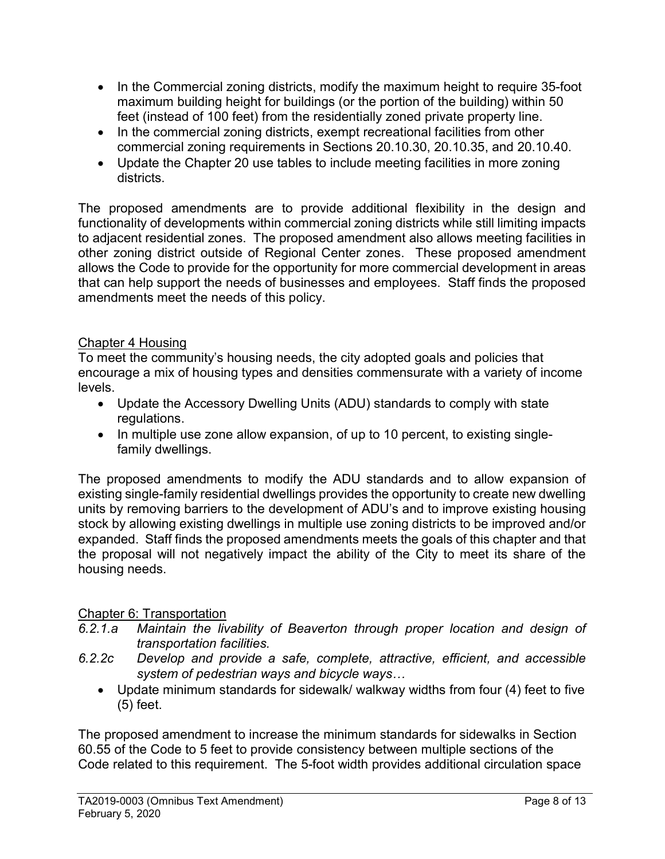- In the Commercial zoning districts, modify the maximum height to require 35-foot maximum building height for buildings (or the portion of the building) within 50 feet (instead of 100 feet) from the residentially zoned private property line.
- In the commercial zoning districts, exempt recreational facilities from other commercial zoning requirements in Sections 20.10.30, 20.10.35, and 20.10.40.
- Update the Chapter 20 use tables to include meeting facilities in more zoning districts.

The proposed amendments are to provide additional flexibility in the design and functionality of developments within commercial zoning districts while still limiting impacts to adjacent residential zones. The proposed amendment also allows meeting facilities in other zoning district outside of Regional Center zones. These proposed amendment allows the Code to provide for the opportunity for more commercial development in areas that can help support the needs of businesses and employees. Staff finds the proposed amendments meet the needs of this policy.

## Chapter 4 Housing

To meet the community's housing needs, the city adopted goals and policies that encourage a mix of housing types and densities commensurate with a variety of income levels.

- Update the Accessory Dwelling Units (ADU) standards to comply with state regulations.
- In multiple use zone allow expansion, of up to 10 percent, to existing singlefamily dwellings.

The proposed amendments to modify the ADU standards and to allow expansion of existing single-family residential dwellings provides the opportunity to create new dwelling units by removing barriers to the development of ADU's and to improve existing housing stock by allowing existing dwellings in multiple use zoning districts to be improved and/or expanded. Staff finds the proposed amendments meets the goals of this chapter and that the proposal will not negatively impact the ability of the City to meet its share of the housing needs.

### Chapter 6: Transportation

- 6.2.1.a Maintain the livability of Beaverton through proper location and design of transportation facilities.
- 6.2.2c Develop and provide a safe, complete, attractive, efficient, and accessible system of pedestrian ways and bicycle ways…
	- Update minimum standards for sidewalk/ walkway widths from four (4) feet to five (5) feet.

The proposed amendment to increase the minimum standards for sidewalks in Section 60.55 of the Code to 5 feet to provide consistency between multiple sections of the Code related to this requirement. The 5-foot width provides additional circulation space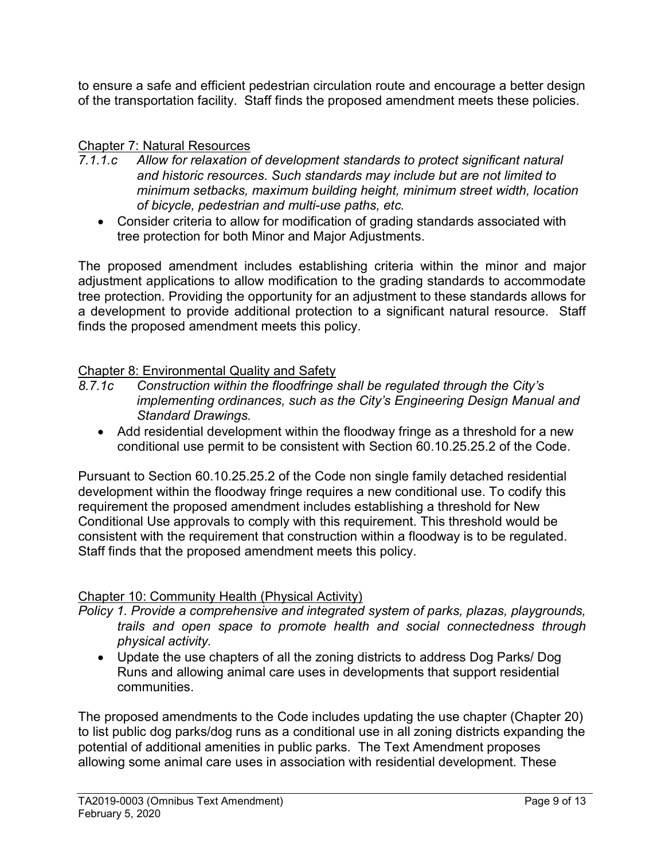to ensure a safe and efficient pedestrian circulation route and encourage a better design of the transportation facility. Staff finds the proposed amendment meets these policies.

### Chapter 7: Natural Resources

- 7.1.1.c Allow for relaxation of development standards to protect significant natural and historic resources. Such standards may include but are not limited to minimum setbacks, maximum building height, minimum street width, location of bicycle, pedestrian and multi-use paths, etc.
	- Consider criteria to allow for modification of grading standards associated with tree protection for both Minor and Major Adjustments.

The proposed amendment includes establishing criteria within the minor and major adjustment applications to allow modification to the grading standards to accommodate tree protection. Providing the opportunity for an adjustment to these standards allows for a development to provide additional protection to a significant natural resource. Staff finds the proposed amendment meets this policy.

#### Chapter 8: Environmental Quality and Safety

- 8.7.1c Construction within the floodfringe shall be regulated through the City's implementing ordinances, such as the City's Engineering Design Manual and Standard Drawings.
	- Add residential development within the floodway fringe as a threshold for a new conditional use permit to be consistent with Section 60.10.25.25.2 of the Code.

Pursuant to Section 60.10.25.25.2 of the Code non single family detached residential development within the floodway fringe requires a new conditional use. To codify this requirement the proposed amendment includes establishing a threshold for New Conditional Use approvals to comply with this requirement. This threshold would be consistent with the requirement that construction within a floodway is to be regulated. Staff finds that the proposed amendment meets this policy.

#### Chapter 10: Community Health (Physical Activity)

- Policy 1. Provide a comprehensive and integrated system of parks, plazas, playgrounds, trails and open space to promote health and social connectedness through physical activity.
	- Update the use chapters of all the zoning districts to address Dog Parks/ Dog Runs and allowing animal care uses in developments that support residential communities.

The proposed amendments to the Code includes updating the use chapter (Chapter 20) to list public dog parks/dog runs as a conditional use in all zoning districts expanding the potential of additional amenities in public parks. The Text Amendment proposes allowing some animal care uses in association with residential development. These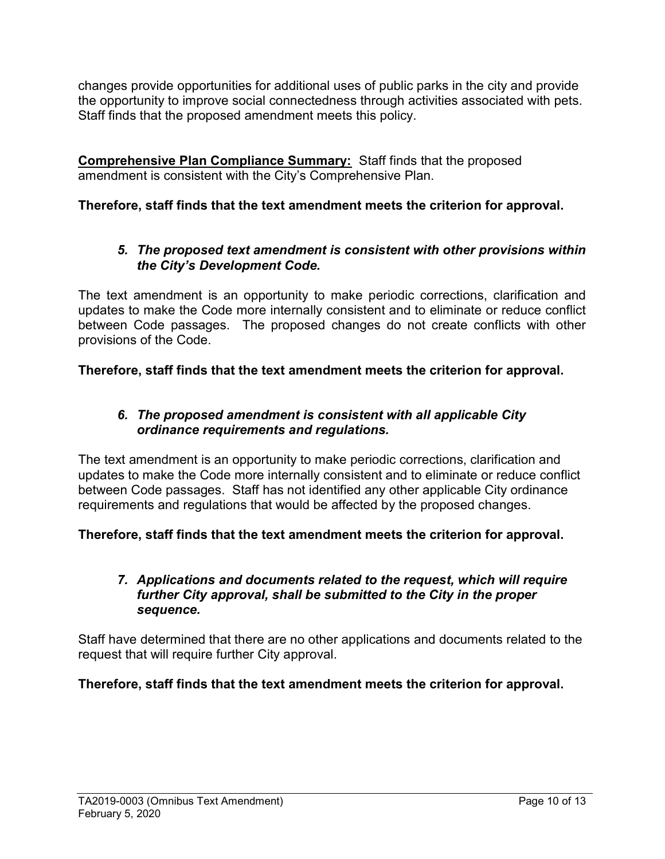changes provide opportunities for additional uses of public parks in the city and provide the opportunity to improve social connectedness through activities associated with pets. Staff finds that the proposed amendment meets this policy.

Comprehensive Plan Compliance Summary: Staff finds that the proposed amendment is consistent with the City's Comprehensive Plan.

# Therefore, staff finds that the text amendment meets the criterion for approval.

### 5. The proposed text amendment is consistent with other provisions within the City's Development Code.

The text amendment is an opportunity to make periodic corrections, clarification and updates to make the Code more internally consistent and to eliminate or reduce conflict between Code passages. The proposed changes do not create conflicts with other provisions of the Code.

Therefore, staff finds that the text amendment meets the criterion for approval.

### 6. The proposed amendment is consistent with all applicable City ordinance requirements and regulations.

The text amendment is an opportunity to make periodic corrections, clarification and updates to make the Code more internally consistent and to eliminate or reduce conflict between Code passages. Staff has not identified any other applicable City ordinance requirements and regulations that would be affected by the proposed changes.

Therefore, staff finds that the text amendment meets the criterion for approval.

### 7. Applications and documents related to the request, which will require further City approval, shall be submitted to the City in the proper sequence.

Staff have determined that there are no other applications and documents related to the request that will require further City approval.

Therefore, staff finds that the text amendment meets the criterion for approval.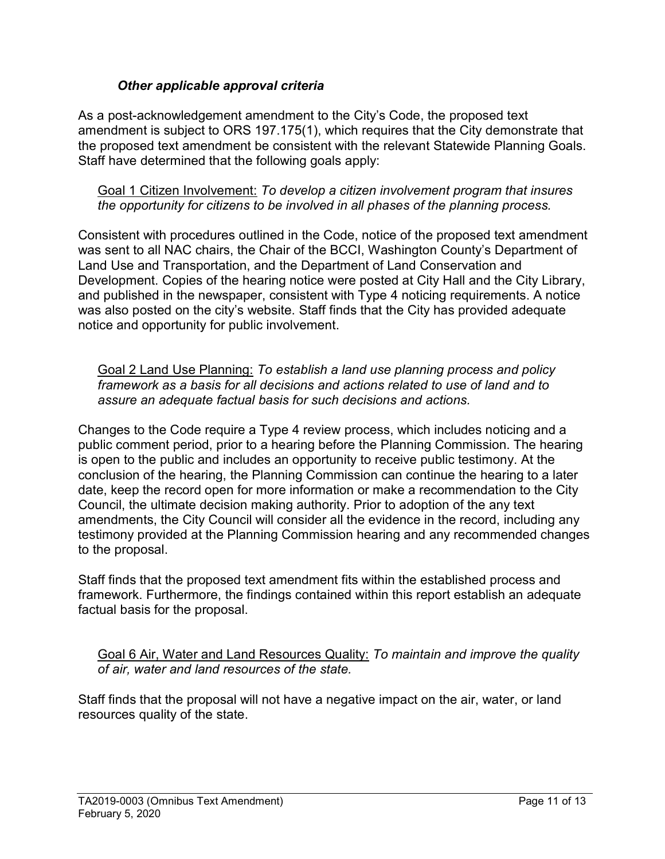## Other applicable approval criteria

As a post-acknowledgement amendment to the City's Code, the proposed text amendment is subject to ORS 197.175(1), which requires that the City demonstrate that the proposed text amendment be consistent with the relevant Statewide Planning Goals. Staff have determined that the following goals apply:

Goal 1 Citizen Involvement: To develop a citizen involvement program that insures the opportunity for citizens to be involved in all phases of the planning process.

Consistent with procedures outlined in the Code, notice of the proposed text amendment was sent to all NAC chairs, the Chair of the BCCI, Washington County's Department of Land Use and Transportation, and the Department of Land Conservation and Development. Copies of the hearing notice were posted at City Hall and the City Library, and published in the newspaper, consistent with Type 4 noticing requirements. A notice was also posted on the city's website. Staff finds that the City has provided adequate notice and opportunity for public involvement.

Goal 2 Land Use Planning: To establish a land use planning process and policy framework as a basis for all decisions and actions related to use of land and to assure an adequate factual basis for such decisions and actions.

Changes to the Code require a Type 4 review process, which includes noticing and a public comment period, prior to a hearing before the Planning Commission. The hearing is open to the public and includes an opportunity to receive public testimony. At the conclusion of the hearing, the Planning Commission can continue the hearing to a later date, keep the record open for more information or make a recommendation to the City Council, the ultimate decision making authority. Prior to adoption of the any text amendments, the City Council will consider all the evidence in the record, including any testimony provided at the Planning Commission hearing and any recommended changes to the proposal.

Staff finds that the proposed text amendment fits within the established process and framework. Furthermore, the findings contained within this report establish an adequate factual basis for the proposal.

Goal 6 Air, Water and Land Resources Quality: To maintain and improve the quality of air, water and land resources of the state.

Staff finds that the proposal will not have a negative impact on the air, water, or land resources quality of the state.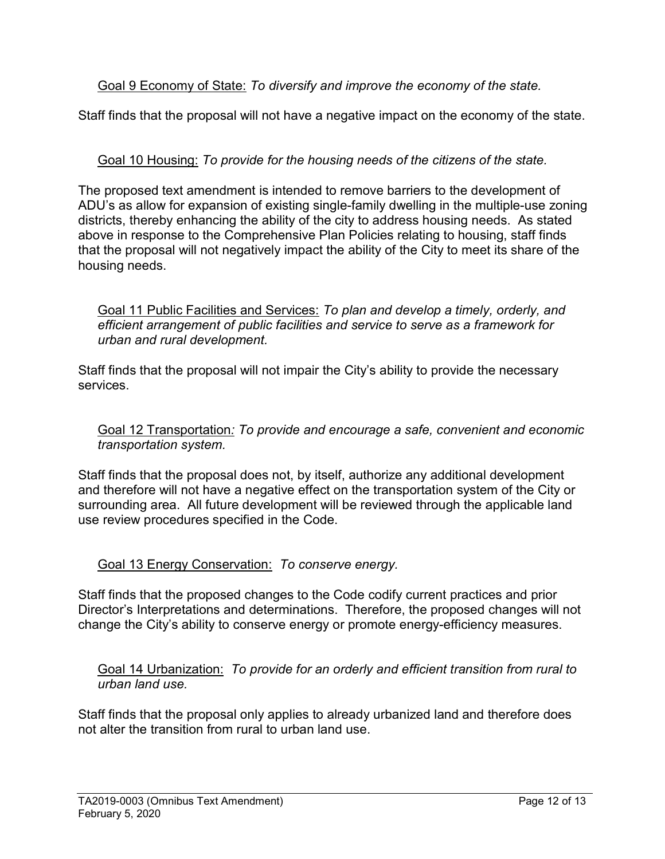Goal 9 Economy of State: To diversify and improve the economy of the state.

Staff finds that the proposal will not have a negative impact on the economy of the state.

Goal 10 Housing: To provide for the housing needs of the citizens of the state.

The proposed text amendment is intended to remove barriers to the development of ADU's as allow for expansion of existing single-family dwelling in the multiple-use zoning districts, thereby enhancing the ability of the city to address housing needs. As stated above in response to the Comprehensive Plan Policies relating to housing, staff finds that the proposal will not negatively impact the ability of the City to meet its share of the housing needs.

Goal 11 Public Facilities and Services: To plan and develop a timely, orderly, and efficient arrangement of public facilities and service to serve as a framework for urban and rural development.

Staff finds that the proposal will not impair the City's ability to provide the necessary services.

Goal 12 Transportation: To provide and encourage a safe, convenient and economic transportation system.

Staff finds that the proposal does not, by itself, authorize any additional development and therefore will not have a negative effect on the transportation system of the City or surrounding area. All future development will be reviewed through the applicable land use review procedures specified in the Code.

# Goal 13 Energy Conservation: To conserve energy.

Staff finds that the proposed changes to the Code codify current practices and prior Director's Interpretations and determinations. Therefore, the proposed changes will not change the City's ability to conserve energy or promote energy-efficiency measures.

Goal 14 Urbanization: To provide for an orderly and efficient transition from rural to urban land use.

Staff finds that the proposal only applies to already urbanized land and therefore does not alter the transition from rural to urban land use.